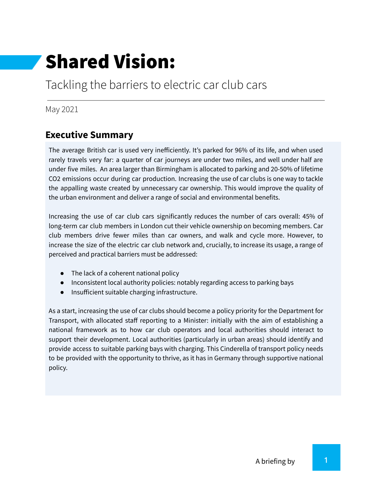# Shared Vision:

## Tackling the barriers to electric car club cars

May 2021

## **Executive Summary**

The average British car is used very inefficiently. It's parked for 96% of its life, and when used rarely travels very far: a quarter of car journeys are under two miles, and well under half are under five miles. An area larger than Birmingham is allocated to parking and 20-50% of lifetime CO2 emissions occur during car production. Increasing the use of car clubs is one way to tackle the appalling waste created by unnecessary car ownership. This would improve the quality of the urban environment and deliver a range of social and environmental benefits.

Increasing the use of car club cars significantly reduces the number of cars overall: 45% of long-term car club members in London cut their vehicle ownership on becoming members. Car club members drive fewer miles than car owners, and walk and cycle more. However, to increase the size of the electric car club network and, crucially, to increase its usage, a range of perceived and practical barriers must be addressed:

- The lack of a coherent national policy
- Inconsistent local authority policies: notably regarding access to parking bays
- Insufficient suitable charging infrastructure.

As a start, increasing the use of car clubs should become a policy priority for the Department for Transport, with allocated staff reporting to a Minister: initially with the aim of establishing a national framework as to how car club operators and local authorities should interact to support their development. Local authorities (particularly in urban areas) should identify and provide access to suitable parking bays with charging. This Cinderella of transport policy needs to be provided with the opportunity to thrive, as it has in Germany through supportive national policy.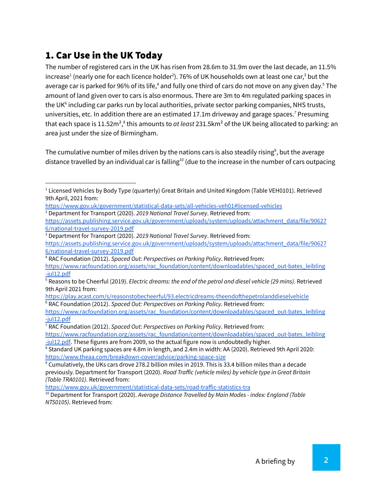## 1. Car Use in the UK Today

The number of registered cars in the UK has risen from 28.6m to 31.9m over the last decade, an 11.5% increase $^1$  (nearly one for each licence holder $^2$ ). 76% of UK households own at least one car, $^3$  but the average car is parked for 96% of its life,<sup>4</sup> and fully one third of cars do not move on any given day.<sup>5</sup> The amount of land given over to cars is also enormous. There are 3m to 4m regulated parking spaces in the UK<sup>6</sup> including car parks run by local authorities, private sector parking companies, NHS trusts, universities, etc. In addition there are an estimated 17.1m driveway and garage spaces.<sup>7</sup> Presuming that each space is 11.52m<sup>2</sup>,<sup>8</sup> this amounts to *at least* 231.5km<sup>2</sup> of the UK being allocated to parking: an area just under the size of Birmingham.

The cumulative number of miles driven by the nations cars is also steadily rising<sup>9</sup>, but the average distance travelled by an individual car is falling<sup>10</sup> (due to the increase in the number of cars outpacing

<sup>2</sup> Department for Transport (2020). *2019 National Travel Survey*. Retrieved from:

<sup>&</sup>lt;sup>1</sup> Licensed Vehicles by Body Type (quarterly) Great Britain and United Kingdom (Table VEH0101). Retrieved 9th April, 2021 from:

<https://www.gov.uk/government/statistical-data-sets/all-vehicles-veh01#licensed-vehicles>

[https://assets.publishing.service.gov.uk/government/uploads/system/uploads/attachment\\_data/file/90627](https://assets.publishing.service.gov.uk/government/uploads/system/uploads/attachment_data/file/906276/national-travel-survey-2019.pdf) [6/national-travel-survey-2019.pdf](https://assets.publishing.service.gov.uk/government/uploads/system/uploads/attachment_data/file/906276/national-travel-survey-2019.pdf)

<sup>3</sup> Department for Transport (2020). *2019 National Travel Survey*. Retrieved from: [https://assets.publishing.service.gov.uk/government/uploads/system/uploads/attachment\\_data/file/90627](https://assets.publishing.service.gov.uk/government/uploads/system/uploads/attachment_data/file/906276/national-travel-survey-2019.pdf) [6/national-travel-survey-2019.pdf](https://assets.publishing.service.gov.uk/government/uploads/system/uploads/attachment_data/file/906276/national-travel-survey-2019.pdf)

<sup>4</sup> RAC Foundation (2012). *Spaced Out: Perspectives on Parking Policy*. Retrieved from: [https://www.racfoundation.org/assets/rac\\_foundation/content/downloadables/spaced\\_out-bates\\_leibling](https://www.racfoundation.org/assets/rac_foundation/content/downloadables/spaced_out-bates_leibling-jul12.pdf)

[<sup>-</sup>jul12.pdf](https://www.racfoundation.org/assets/rac_foundation/content/downloadables/spaced_out-bates_leibling-jul12.pdf)

<sup>5</sup> Reasons to be Cheerful (2019). *Electric dreams: the end of the petrol and diesel vehicle (29 mins)*. Retrieved 9th April 2021 from:

<sup>6</sup> RAC Foundation (2012). *Spaced Out: Perspectives on Parking Policy*. Retrieved from: <https://play.acast.com/s/reasonstobecheerful/93.electricdreams-theendofthepetrolanddieselvehicle>

[https://www.racfoundation.org/assets/rac\\_foundation/content/downloadables/spaced\\_out-bates\\_leibling](https://www.racfoundation.org/assets/rac_foundation/content/downloadables/spaced_out-bates_leibling-jul12.pdf) [-jul12.pdf](https://www.racfoundation.org/assets/rac_foundation/content/downloadables/spaced_out-bates_leibling-jul12.pdf)

<sup>7</sup> RAC Foundation (2012). *Spaced Out: Perspectives on Parking Policy*. Retrieved from: [https://www.racfoundation.org/assets/rac\\_foundation/content/downloadables/spaced\\_out-bates\\_leibling](https://www.racfoundation.org/assets/rac_foundation/content/downloadables/spaced_out-bates_leibling-jul12.pdf) [-jul12.pdf](https://www.racfoundation.org/assets/rac_foundation/content/downloadables/spaced_out-bates_leibling-jul12.pdf). These figures are from 2009, so the actual figure now is undoubtedly higher.

<sup>&</sup>lt;sup>8</sup> Standard UK parking spaces are 4.8m in length, and 2.4m in width: AA (2020). Retrieved 9th April 2020: <https://www.theaa.com/breakdown-cover/advice/parking-space-size>

<sup>&</sup>lt;sup>9</sup> Cumulatively, the UKs cars drove 278.2 billion miles in 2019. This is 33.4 billion miles than a decade previously. Department for Transport (2020). *Road Traffic (vehicle miles) by vehicle type in Great Britain (Table TRA0101).* Retrieved from:

<https://www.gov.uk/government/statistical-data-sets/road-traffic-statistics-tra>

<sup>10</sup> Department for Transport (2020). *Average Distance Travelled by Main Modes - index: England (Table NTS0105)*. Retrieved from: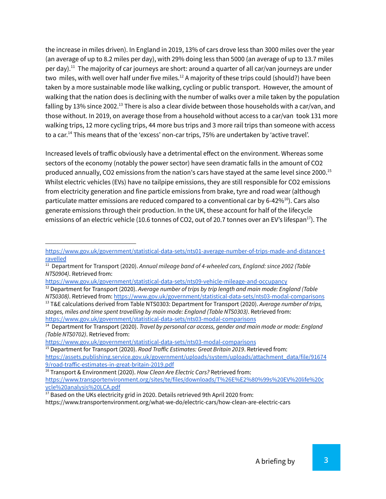the increase in miles driven). In England in 2019, 13% of cars drove less than 3000 miles over the year (an average of up to 8.2 miles per day), with 29% doing less than 5000 (an average of up to 13.7 miles per day).<sup>11</sup> The majority of car journeys are short: around a quarter of all car/van journeys are under two miles, with well over half under five miles. $^{12}$  A majority of these trips could (should?) have been taken by a more sustainable mode like walking, cycling or public transport. However, the amount of walking that the nation does is declining with the number of walks over a mile taken by the population falling by 13% since 2002.<sup>13</sup> There is also a clear divide between those households with a car/van, and those without. In 2019, on average those from a household without access to a car/van took 131 more walking trips, 12 more cycling trips, 44 more bus trips and 3 more rail trips than someone with access to a car.<sup>14</sup> This means that of the 'excess' non-car trips, 75% are undertaken by 'active travel'.

Increased levels of traffic obviously have a detrimental effect on the environment. Whereas some sectors of the economy (notably the power sector) have seen dramatic falls in the amount of CO2 produced annually, CO2 emissions from the nation's cars have stayed at the same level since 2000. 15 Whilst electric vehicles (EVs) have no tailpipe emissions, they are still responsible for CO2 emissions from electricity generation and fine particle emissions from brake, tyre and road wear (although particulate matter emissions are reduced compared to a conventional car by 6-42%<sup>16</sup>). Cars also generate emissions through their production. In the UK, these account for half of the lifecycle emissions of an electric vehicle (10.6 tonnes of CO2, out of 20.7 tonnes over an EV's lifespan<sup>17</sup>). The

<https://www.gov.uk/government/statistical-data-sets/nts03-modal-comparisons>

https://www.transportenvironment.org/what-we-do/electric-cars/how-clean-are-electric-cars

[https://www.gov.uk/government/statistical-data-sets/nts01-average-number-of-trips-made-and-distance-t](https://www.gov.uk/government/statistical-data-sets/nts01-average-number-of-trips-made-and-distance-travelled) [ravelled](https://www.gov.uk/government/statistical-data-sets/nts01-average-number-of-trips-made-and-distance-travelled)

<sup>11</sup> Department for Transport (2020). *Annual mileage band of [4-wheeled](https://assets.publishing.service.gov.uk/government/uploads/system/uploads/attachment_data/file/906056/nts0904.ods) cars, England: since 2002 (Table NTS0904)*. Retrieved from:

<https://www.gov.uk/government/statistical-data-sets/nts09-vehicle-mileage-and-occupancy>

<sup>12</sup> Department for Transport (2020). *Average number of trips by trip length and main mode: [England](https://assets.publishing.service.gov.uk/government/uploads/system/uploads/attachment_data/file/905950/nts0308.ods) (Table NTS0308)*. Retrieved from: <https://www.gov.uk/government/statistical-data-sets/nts03-modal-comparisons>

<sup>13</sup> T&E calculations derived from Table NTS0303: Department for Transport (2020). *[Average](https://assets.publishing.service.gov.uk/government/uploads/system/uploads/attachment_data/file/905948/nts0303.ods) number of trips, stages, miles and time spent [travelling](https://assets.publishing.service.gov.uk/government/uploads/system/uploads/attachment_data/file/905948/nts0303.ods) by main mode: England (Table NTS0303)*. Retrieved from: <https://www.gov.uk/government/statistical-data-sets/nts03-modal-comparisons>

<sup>14</sup> Department for Transport (2020). *Travel by [personal](https://assets.publishing.service.gov.uk/government/uploads/system/uploads/attachment_data/file/905960/nts0702.ods) car access, gender and main mode or mode: England (Table NTS0702)*. Retrieved from:

<sup>15</sup> Department for Transport (2020). *Road Traffic Estimates: Great Britain 2019*. Retrieved from: [https://assets.publishing.service.gov.uk/government/uploads/system/uploads/attachment\\_data/file/91674](https://assets.publishing.service.gov.uk/government/uploads/system/uploads/attachment_data/file/916749/road-traffic-estimates-in-great-britain-2019.pdf) [9/road-traffic-estimates-in-great-britain-2019.pdf](https://assets.publishing.service.gov.uk/government/uploads/system/uploads/attachment_data/file/916749/road-traffic-estimates-in-great-britain-2019.pdf)

<sup>16</sup> Transport & Environment (2020). *How Clean Are Electric Cars?* Retrieved from: [https://www.transportenvironment.org/sites/te/files/downloads/T%26E%E2%80%99s%20EV%20life%20c](https://www.transportenvironment.org/sites/te/files/downloads/T%26E%E2%80%99s%20EV%20life%20cycle%20analysis%20LCA.pdf) [ycle%20analysis%20LCA.pdf](https://www.transportenvironment.org/sites/te/files/downloads/T%26E%E2%80%99s%20EV%20life%20cycle%20analysis%20LCA.pdf)

<sup>&</sup>lt;sup>17</sup> Based on the UKs electricity grid in 2020. Details retrieved 9th April 2020 from: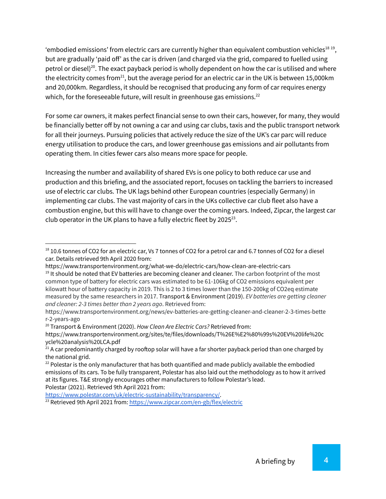'embodied emissions' from electric cars are currently higher than equivalent combustion vehicles<sup>18</sup><sup>19</sup>, but are gradually 'paid off' as the car is driven (and charged via the grid, compared to fuelled using petrol or diesel) $^{20}$ . The exact payback period is wholly dependent on how the car is utilised and where the electricity comes from $^{21}$ , but the average period for an electric car in the UK is between 15,000km and 20,000km. Regardless, it should be recognised that producing any form of car requires energy which, for the foreseeable future, will result in greenhouse gas emissions.<sup>22</sup>

For some car owners, it makes perfect financial sense to own their cars, however, for many, they would be financially better off by not owning a car and using car clubs, taxis and the public transport network for all their journeys. Pursuing policies that actively reduce the size of the UK's car parc will reduce energy utilisation to produce the cars, and lower greenhouse gas emissions and air pollutants from operating them. In cities fewer cars also means more space for people.

Increasing the number and availability of shared EVs is one policy to both reduce car use and production and this briefing, and the associated report, focuses on tackling the barriers to increased use of electric car clubs. The UK lags behind other European countries (especially Germany) in implementing car clubs. The vast majority of cars in the UKs collective car club fleet also have a combustion engine, but this will have to change over the coming years. Indeed, Zipcar, the largest car club operator in the UK plans to have a fully electric fleet by 2025 $^{23}$ .

[https://www.polestar.com/uk/electric-sustainability/transparency/.](https://www.polestar.com/uk/electric-sustainability/transparency/)

<sup>23</sup> Retrieved 9th April 2021 from: <https://www.zipcar.com/en-gb/flex/electric>

 $^{18}$  10.6 tonnes of CO2 for an electric car, Vs 7 tonnes of CO2 for a petrol car and 6.7 tonnes of CO2 for a diesel car. Details retrieved 9th April 2020 from:

https://www.transportenvironment.org/what-we-do/electric-cars/how-clean-are-electric-cars

<sup>&</sup>lt;sup>19</sup> It should be noted that EV batteries are becoming cleaner and cleaner. The carbon footprint of the most common type of battery for electric cars was estimated to be 61-106kg of CO2 emissions equivalent per kilowatt hour of battery capacity in 2019. This is 2 to 3 times lower than the 150-200kg of CO2eq estimate measured by the same researchers in 2017. Transport & Environment (2019). *EV batteries are getting cleaner and cleaner: 2-3 times better than 2 years ago*. Retrieved from:

https://www.transportenvironment.org/news/ev-batteries-are-getting-cleaner-and-cleaner-2-3-times-bette r-2-years-ago

<sup>20</sup> Transport & Environment (2020). *How Clean Are Electric Cars?* Retrieved from:

https://www.transportenvironment.org/sites/te/files/downloads/T%26E%E2%80%99s%20EV%20life%20c ycle%20analysis%20LCA.pdf

 $21$  A car predominantly charged by rooftop solar will have a far shorter payback period than one charged by the national grid.

 $^{22}$  Polestar is the only manufacturer that has both quantified and made publicly available the embodied emissions of its cars. To be fully transparent, Polestar has also laid out the methodology as to how it arrived at its figures. T&E strongly encourages other manufacturers to follow Polestar's lead. Polestar (2021). Retrieved 9th April 2021 from: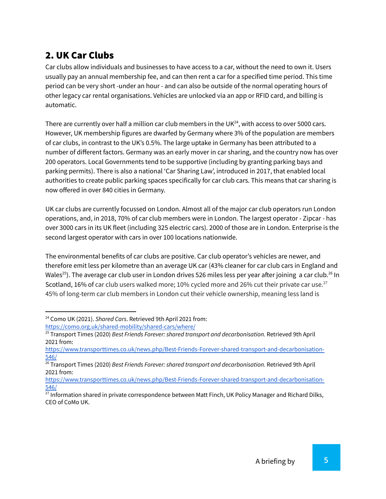## 2. UK Car Clubs

Car clubs allow individuals and businesses to have access to a car, without the need to own it. Users usually pay an annual membership fee, and can then rent a car for a specified time period. This time period can be very short -under an hour - and can also be outside of the normal operating hours of other legacy car rental organisations. Vehicles are unlocked via an app or RFID card, and billing is automatic.

There are currently over half a million car club members in the UK $^{24}$ , with access to over 5000 cars. However, UK membership figures are dwarfed by Germany where 3% of the population are members of car clubs, in contrast to the UK's 0.5%. The large uptake in Germany has been attributed to a number of different factors. Germany was an early mover in car sharing, and the country now has over 200 operators. Local Governments tend to be supportive (including by granting parking bays and parking permits). There is also a national 'Car Sharing Law', introduced in 2017, that enabled local authorities to create public parking spaces specifically for car club cars. This means that car sharing is now offered in over 840 cities in Germany.

UK car clubs are currently focussed on London. Almost all of the major car club operators run London operations, and, in 2018, 70% of car club members were in London. The largest operator - Zipcar - has over 3000 cars in its UK fleet (including 325 electric cars). 2000 of those are in London. Enterprise is the second largest operator with cars in over 100 locations nationwide.

The environmental benefits of car clubs are positive. Car club operator's vehicles are newer, and therefore emit less per kilometre than an average UK car (43% cleaner for car club cars in England and Wales $^{25}$ ). The average car club user in London drives 526 miles less per year after joining  $\,$  a car club. $^{26}$  In Scotland, 16% of car club users walked more; 10% cycled more and 26% cut their private car use.<sup>27</sup> 45% of long-term car club members in London cut their vehicle ownership, meaning less land is

<sup>24</sup> Como UK (2021). *Shared Cars*. Retrieved 9th April 2021 from: <https://como.org.uk/shared-mobility/shared-cars/where/>

<sup>25</sup> Transport Times (2020) *Best Friends Forever: shared transport and decarbonisation.* Retrieved 9th April 2021 from:

[https://www.transporttimes.co.uk/news.php/Best-Friends-Forever-shared-transport-and-decarbonisation-](https://www.transporttimes.co.uk/news.php/Best-Friends-Forever-shared-transport-and-decarbonisation-546/)[546/](https://www.transporttimes.co.uk/news.php/Best-Friends-Forever-shared-transport-and-decarbonisation-546/)

<sup>26</sup> Transport Times (2020) *Best Friends Forever: shared transport and decarbonisation.* Retrieved 9th April 2021 from:

[https://www.transporttimes.co.uk/news.php/Best-Friends-Forever-shared-transport-and-decarbonisation-](https://www.transporttimes.co.uk/news.php/Best-Friends-Forever-shared-transport-and-decarbonisation-546/)[546/](https://www.transporttimes.co.uk/news.php/Best-Friends-Forever-shared-transport-and-decarbonisation-546/)

<sup>&</sup>lt;sup>27</sup> Information shared in private correspondence between Matt Finch, UK Policy Manager and Richard Dilks, CEO of CoMo UK.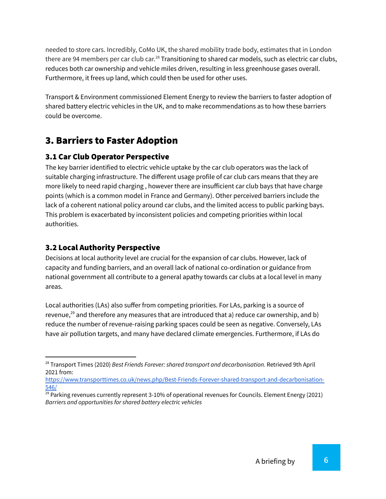needed to store cars. Incredibly, CoMo UK, the shared mobility trade body, estimates that in London there are 94 members per car club car.<sup>28</sup> Transitioning to shared car models, such as electric car clubs, reduces both car ownership and vehicle miles driven, resulting in less greenhouse gases overall. Furthermore, it frees up land, which could then be used for other uses.

Transport & Environment commissioned Element Energy to review the barriers to faster adoption of shared battery electric vehicles in the UK, and to make recommendations as to how these barriers could be overcome.

## 3. Barriers to Faster Adoption

#### 3.1 Car Club Operator Perspective

The key barrier identified to electric vehicle uptake by the car club operators was the lack of suitable charging infrastructure. The different usage profile of car club cars means that they are more likely to need rapid charging , however there are insufficient car club bays that have charge points (which is a common model in France and Germany). Other perceived barriers include the lack of a coherent national policy around car clubs, and the limited access to public parking bays. This problem is exacerbated by inconsistent policies and competing priorities within local authorities.

#### 3.2 Local Authority Perspective

Decisions at local authority level are crucial for the expansion of car clubs. However, lack of capacity and funding barriers, and an overall lack of national co-ordination or guidance from national government all contribute to a general apathy towards car clubs at a local level in many areas.

Local authorities (LAs) also suffer from competing priorities. For LAs, parking is a source of revenue, $^{29}$  and therefore any measures that are introduced that a) reduce car ownership, and b) reduce the number of revenue-raising parking spaces could be seen as negative. Conversely, LAs have air pollution targets, and many have declared climate emergencies. Furthermore, if LAs do

<sup>28</sup> Transport Times (2020) *Best Friends Forever: shared transport and decarbonisation.* Retrieved 9th April 2021 from:

[https://www.transporttimes.co.uk/news.php/Best-Friends-Forever-shared-transport-and-decarbonisation-](https://www.transporttimes.co.uk/news.php/Best-Friends-Forever-shared-transport-and-decarbonisation-546/)[546/](https://www.transporttimes.co.uk/news.php/Best-Friends-Forever-shared-transport-and-decarbonisation-546/)

 $29$  Parking revenues currently represent 3-10% of operational revenues for Councils. Element Energy (2021) *Barriers and opportunities for shared battery electric vehicles*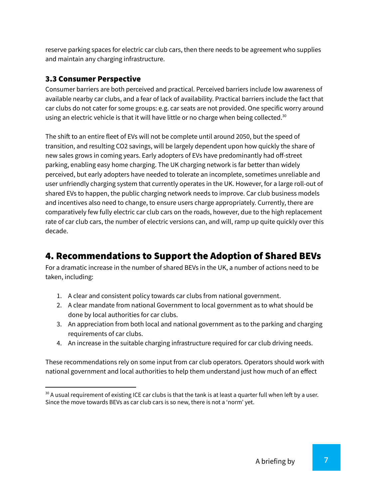reserve parking spaces for electric car club cars, then there needs to be agreement who supplies and maintain any charging infrastructure.

#### 3.3 Consumer Perspective

Consumer barriers are both perceived and practical. Perceived barriers include low awareness of available nearby car clubs, and a fear of lack of availability. Practical barriers include the fact that car clubs do not cater for some groups: e.g. car seats are not provided. One specific worry around using an electric vehicle is that it will have little or no charge when being collected.<sup>30</sup>

The shift to an entire fleet of EVs will not be complete until around 2050, but the speed of transition, and resulting CO2 savings, will be largely dependent upon how quickly the share of new sales grows in coming years. Early adopters of EVs have predominantly had off-street parking, enabling easy home charging. The UK charging network is far better than widely perceived, but early adopters have needed to tolerate an incomplete, sometimes unreliable and user unfriendly charging system that currently operates in the UK. However, for a large roll-out of shared EVs to happen, the public charging network needs to improve. Car club business models and incentives also need to change, to ensure users charge appropriately. Currently, there are comparatively few fully electric car club cars on the roads, however, due to the high replacement rate of car club cars, the number of electric versions can, and will, ramp up quite quickly over this decade.

## 4. Recommendations to Support the Adoption of Shared BEVs

For a dramatic increase in the number of shared BEVs in the UK, a number of actions need to be taken, including:

- 1. A clear and consistent policy towards car clubs from national government.
- 2. A clear mandate from national Government to local government as to what should be done by local authorities for car clubs.
- 3. An appreciation from both local and national government as to the parking and charging requirements of car clubs.
- 4. An increase in the suitable charging infrastructure required for car club driving needs.

These recommendations rely on some input from car club operators. Operators should work with national government and local authorities to help them understand just how much of an effect

<sup>&</sup>lt;sup>30</sup> A usual requirement of existing ICE car clubs is that the tank is at least a quarter full when left by a user. Since the move towards BEVs as car club cars is so new, there is not a 'norm' yet.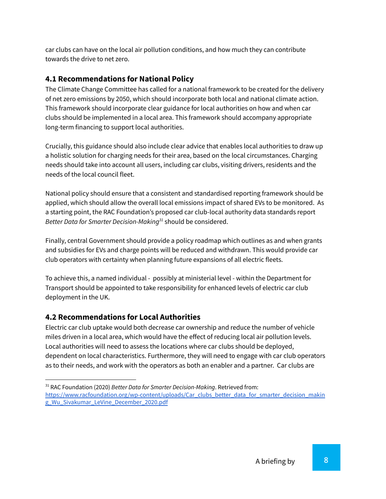car clubs can have on the local air pollution conditions, and how much they can contribute towards the drive to net zero.

#### **4.1 Recommendations for National Policy**

The Climate Change Committee has called for a national framework to be created for the delivery of net zero emissions by 2050, which should incorporate both local and national climate action. This framework should incorporate clear guidance for local authorities on how and when car clubs should be implemented in a local area. This framework should accompany appropriate long-term financing to support local authorities.

Crucially, this guidance should also include clear advice that enables local authorities to draw up a holistic solution for charging needs for their area, based on the local circumstances. Charging needs should take into account all users, including car clubs, visiting drivers, residents and the needs of the local council fleet.

National policy should ensure that a consistent and standardised reporting framework should be applied, which should allow the overall local emissions impact of shared EVs to be monitored. As a starting point, the RAC Foundation's proposed car club-local authority data standards report Better Data for Smarter Decision-Making<sup>31</sup> should be considered.

Finally, central Government should provide a policy roadmap which outlines as and when grants and subsidies for EVs and charge points will be reduced and withdrawn. This would provide car club operators with certainty when planning future expansions of all electric fleets.

To achieve this, a named individual - possibly at ministerial level - within the Department for Transport should be appointed to take responsibility for enhanced levels of electric car club deployment in the UK.

#### **4.2 Recommendations for Local Authorities**

Electric car club uptake would both decrease car ownership and reduce the number of vehicle miles driven in a local area, which would have the effect of reducing local air pollution levels. Local authorities will need to assess the locations where car clubs should be deployed, dependent on local characteristics. Furthermore, they will need to engage with car club operators as to their needs, and work with the operators as both an enabler and a partner. Car clubs are

<sup>31</sup> RAC Foundation (2020) *Better Data for Smarter Decision-Making*. Retrieved from:

[https://www.racfoundation.org/wp-content/uploads/Car\\_clubs\\_better\\_data\\_for\\_smarter\\_decision\\_makin](https://www.racfoundation.org/wp-content/uploads/Car_clubs_better_data_for_smarter_decision_making_Wu_Sivakumar_LeVine_December_2020.pdf) [g\\_Wu\\_Sivakumar\\_LeVine\\_December\\_2020.pdf](https://www.racfoundation.org/wp-content/uploads/Car_clubs_better_data_for_smarter_decision_making_Wu_Sivakumar_LeVine_December_2020.pdf)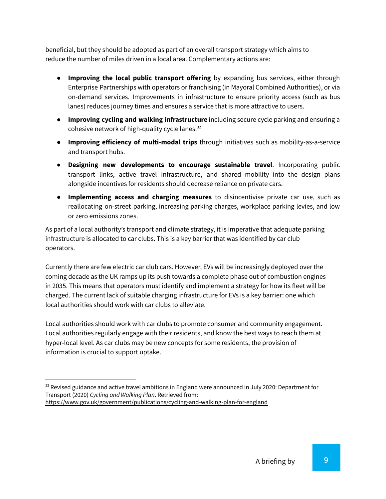beneficial, but they should be adopted as part of an overall transport strategy which aims to reduce the number of miles driven in a local area. Complementary actions are:

- **Improving the local public transport offering** by expanding bus services, either through Enterprise Partnerships with operators or franchising (in Mayoral Combined Authorities), or via on-demand services. Improvements in infrastructure to ensure priority access (such as bus lanes) reduces journey times and ensures a service that is more attractive to users.
- **Improving cycling and walking infrastructure** including secure cycle parking and ensuring a cohesive network of high-quality cycle lanes.<sup>32</sup>
- **Improving efficiency of multi-modal trips** through initiatives such as mobility-as-a-service and transport hubs.
- **Designing new developments to encourage sustainable travel**. Incorporating public transport links, active travel infrastructure, and shared mobility into the design plans alongside incentives for residents should decrease reliance on private cars.
- **Implementing access and charging measures** to disincentivise private car use, such as reallocating on-street parking, increasing parking charges, workplace parking levies, and low or zero emissions zones.

As part of a local authority's transport and climate strategy, it is imperative that adequate parking infrastructure is allocated to car clubs. This is a key barrier that was identified by car club operators.

Currently there are few electric car club cars. However, EVs will be increasingly deployed over the coming decade as the UK ramps up its push towards a complete phase out of combustion engines in 2035. This means that operators must identify and implement a strategy for how its fleet will be charged. The current lack of suitable charging infrastructure for EVs is a key barrier: one which local authorities should work with car clubs to alleviate.

Local authorities should work with car clubs to promote consumer and community engagement. Local authorities regularly engage with their residents, and know the best ways to reach them at hyper-local level. As car clubs may be new concepts for some residents, the provision of information is crucial to support uptake.

 $32$  Revised guidance and active travel ambitions in England were announced in July 2020: Department for Transport (2020) *Cycling and Walking Plan*. Retrieved from: <https://www.gov.uk/government/publications/cycling-and-walking-plan-for-england>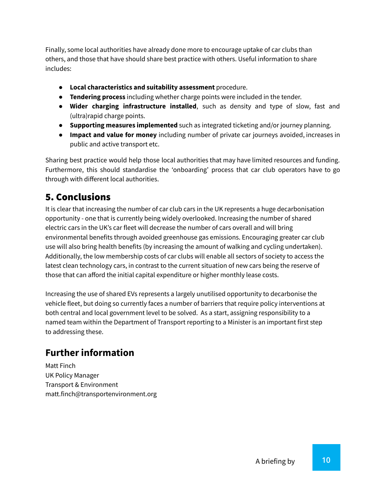Finally, some local authorities have already done more to encourage uptake of car clubs than others, and those that have should share best practice with others. Useful information to share includes:

- **Local characteristics and suitability assessment** procedure.
- **Tendering process** including whether charge points were included in the tender.
- **Wider charging infrastructure installed**, such as density and type of slow, fast and (ultra)rapid charge points.
- **Supporting measures implemented** such as integrated ticketing and/or journey planning.
- **Impact and value for money** including number of private car journeys avoided, increases in public and active transport etc.

Sharing best practice would help those local authorities that may have limited resources and funding. Furthermore, this should standardise the 'onboarding' process that car club operators have to go through with different local authorities.

### 5. Conclusions

It is clear that increasing the number of car club cars in the UK represents a huge decarbonisation opportunity - one that is currently being widely overlooked. Increasing the number of shared electric cars in the UK's car fleet will decrease the number of cars overall and will bring environmental benefits through avoided greenhouse gas emissions. Encouraging greater car club use will also bring health benefits (by increasing the amount of walking and cycling undertaken). Additionally, the low membership costs of car clubs will enable all sectors of society to access the latest clean technology cars, in contrast to the current situation of new cars being the reserve of those that can afford the initial capital expenditure or higher monthly lease costs.

Increasing the use of shared EVs represents a largely unutilised opportunity to decarbonise the vehicle fleet, but doing so currently faces a number of barriers that require policy interventions at both central and local government level to be solved. As a start, assigning responsibility to a named team within the Department of Transport reporting to a Minister is an important first step to addressing these.

## **Further information**

Matt Finch UK Policy Manager Transport & Environment matt.finch@transportenvironment.org